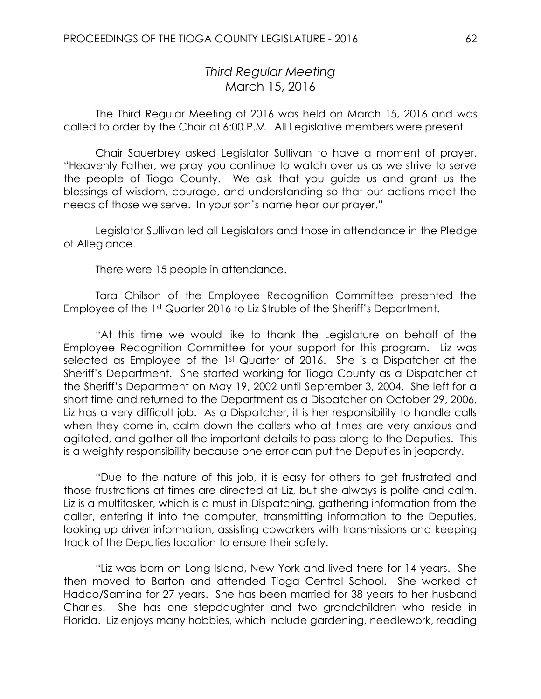# *Third Regular Meeting* March 15, 2016

The Third Regular Meeting of 2016 was held on March 15, 2016 and was called to order by the Chair at 6:00 P.M. All Legislative members were present.

Chair Sauerbrey asked Legislator Sullivan to have a moment of prayer. "Heavenly Father, we pray you continue to watch over us as we strive to serve the people of Tioga County. We ask that you guide us and grant us the blessings of wisdom, courage, and understanding so that our actions meet the needs of those we serve. In your son's name hear our prayer."

Legislator Sullivan led all Legislators and those in attendance in the Pledge of Allegiance.

There were 15 people in attendance.

Tara Chilson of the Employee Recognition Committee presented the Employee of the 1st Quarter 2016 to Liz Struble of the Sheriff's Department.

"At this time we would like to thank the Legislature on behalf of the Employee Recognition Committee for your support for this program. Liz was selected as Employee of the 1st Quarter of 2016. She is a Dispatcher at the Sheriff's Department. She started working for Tioga County as a Dispatcher at the Sheriff's Department on May 19, 2002 until September 3, 2004. She left for a short time and returned to the Department as a Dispatcher on October 29, 2006. Liz has a very difficult job. As a Dispatcher, it is her responsibility to handle calls when they come in, calm down the callers who at times are very anxious and agitated, and gather all the important details to pass along to the Deputies. This is a weighty responsibility because one error can put the Deputies in jeopardy.

"Due to the nature of this job, it is easy for others to get frustrated and those frustrations at times are directed at Liz, but she always is polite and calm. Liz is a multitasker, which is a must in Dispatching, gathering information from the caller, entering it into the computer, transmitting information to the Deputies, looking up driver information, assisting coworkers with transmissions and keeping track of the Deputies location to ensure their safety.

"Liz was born on Long Island, New York and lived there for 14 years. She then moved to Barton and attended Tioga Central School. She worked at Hadco/Samina for 27 years. She has been married for 38 years to her husband Charles. She has one stepdaughter and two grandchildren who reside in Florida. Liz enjoys many hobbies, which include gardening, needlework, reading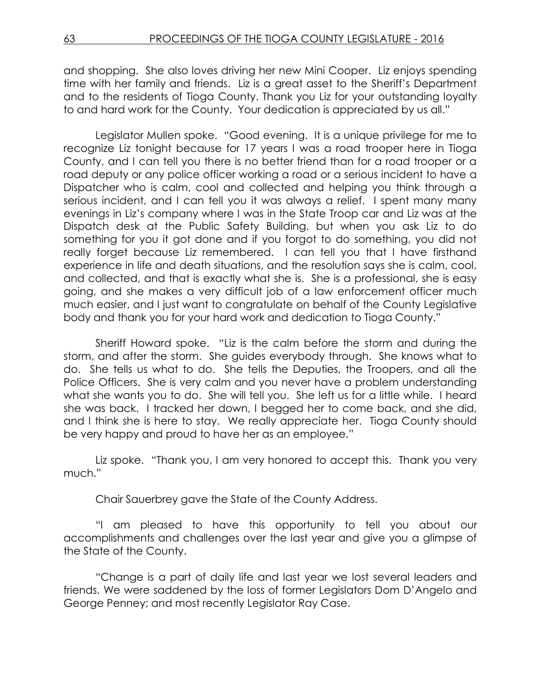and shopping. She also loves driving her new Mini Cooper. Liz enjoys spending time with her family and friends. Liz is a great asset to the Sheriff's Department and to the residents of Tioga County. Thank you Liz for your outstanding loyalty to and hard work for the County. Your dedication is appreciated by us all."

Legislator Mullen spoke. "Good evening. It is a unique privilege for me to recognize Liz tonight because for 17 years I was a road trooper here in Tioga County, and I can tell you there is no better friend than for a road trooper or a road deputy or any police officer working a road or a serious incident to have a Dispatcher who is calm, cool and collected and helping you think through a serious incident, and I can tell you it was always a relief. I spent many many evenings in Liz's company where I was in the State Troop car and Liz was at the Dispatch desk at the Public Safety Building, but when you ask Liz to do something for you it got done and if you forgot to do something, you did not really forget because Liz remembered. I can tell you that I have firsthand experience in life and death situations, and the resolution says she is calm, cool, and collected, and that is exactly what she is. She is a professional, she is easy going, and she makes a very difficult job of a law enforcement officer much much easier, and I just want to congratulate on behalf of the County Legislative body and thank you for your hard work and dedication to Tioga County."

Sheriff Howard spoke. "Liz is the calm before the storm and during the storm, and after the storm. She guides everybody through. She knows what to do. She tells us what to do. She tells the Deputies, the Troopers, and all the Police Officers. She is very calm and you never have a problem understanding what she wants you to do. She will tell you. She left us for a little while. I heard she was back. I tracked her down, I begged her to come back, and she did, and I think she is here to stay. We really appreciate her. Tioga County should be very happy and proud to have her as an employee."

Liz spoke. "Thank you, I am very honored to accept this. Thank you very much."

Chair Sauerbrey gave the State of the County Address.

"I am pleased to have this opportunity to tell you about our accomplishments and challenges over the last year and give you a glimpse of the State of the County.

"Change is a part of daily life and last year we lost several leaders and friends. We were saddened by the loss of former Legislators Dom D'Angelo and George Penney; and most recently Legislator Ray Case.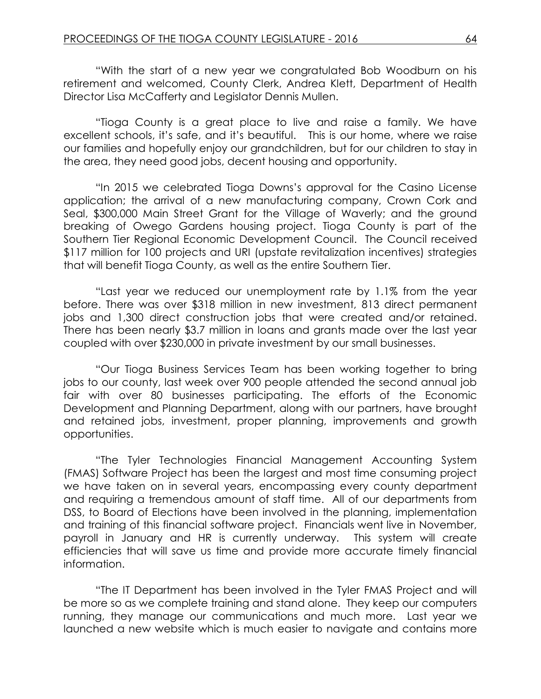"With the start of a new year we congratulated Bob Woodburn on his retirement and welcomed, County Clerk, Andrea Klett, Department of Health Director Lisa McCafferty and Legislator Dennis Mullen.

"Tioga County is a great place to live and raise a family. We have excellent schools, it's safe, and it's beautiful. This is our home, where we raise our families and hopefully enjoy our grandchildren, but for our children to stay in the area, they need good jobs, decent housing and opportunity.

"In 2015 we celebrated Tioga Downs's approval for the Casino License application; the arrival of a new manufacturing company, Crown Cork and Seal, \$300,000 Main Street Grant for the Village of Waverly; and the ground breaking of Owego Gardens housing project. Tioga County is part of the Southern Tier Regional Economic Development Council. The Council received \$117 million for 100 projects and URI (upstate revitalization incentives) strategies that will benefit Tioga County, as well as the entire Southern Tier.

"Last year we reduced our unemployment rate by 1.1% from the year before. There was over \$318 million in new investment, 813 direct permanent jobs and 1,300 direct construction jobs that were created and/or retained. There has been nearly \$3.7 million in loans and grants made over the last year coupled with over \$230,000 in private investment by our small businesses.

"Our Tioga Business Services Team has been working together to bring jobs to our county, last week over 900 people attended the second annual job fair with over 80 businesses participating. The efforts of the Economic Development and Planning Department, along with our partners, have brought and retained jobs, investment, proper planning, improvements and growth opportunities.

"The Tyler Technologies Financial Management Accounting System (FMAS) Software Project has been the largest and most time consuming project we have taken on in several years, encompassing every county department and requiring a tremendous amount of staff time. All of our departments from DSS, to Board of Elections have been involved in the planning, implementation and training of this financial software project. Financials went live in November, payroll in January and HR is currently underway. This system will create efficiencies that will save us time and provide more accurate timely financial information.

"The IT Department has been involved in the Tyler FMAS Project and will be more so as we complete training and stand alone. They keep our computers running, they manage our communications and much more. Last year we launched a new website which is much easier to navigate and contains more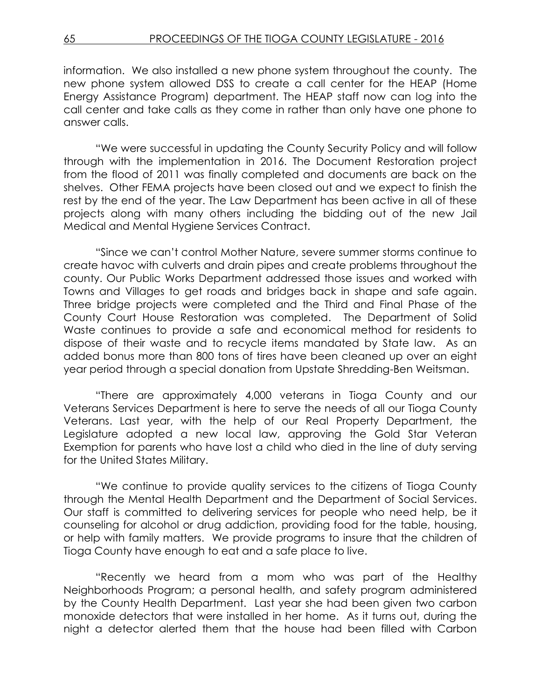information. We also installed a new phone system throughout the county. The new phone system allowed DSS to create a call center for the HEAP (Home Energy Assistance Program) department. The HEAP staff now can log into the call center and take calls as they come in rather than only have one phone to answer calls.

"We were successful in updating the County Security Policy and will follow through with the implementation in 2016. The Document Restoration project from the flood of 2011 was finally completed and documents are back on the shelves. Other FEMA projects have been closed out and we expect to finish the rest by the end of the year. The Law Department has been active in all of these projects along with many others including the bidding out of the new Jail Medical and Mental Hygiene Services Contract.

"Since we can't control Mother Nature, severe summer storms continue to create havoc with culverts and drain pipes and create problems throughout the county. Our Public Works Department addressed those issues and worked with Towns and Villages to get roads and bridges back in shape and safe again. Three bridge projects were completed and the Third and Final Phase of the County Court House Restoration was completed. The Department of Solid Waste continues to provide a safe and economical method for residents to dispose of their waste and to recycle items mandated by State law. As an added bonus more than 800 tons of tires have been cleaned up over an eight year period through a special donation from Upstate Shredding-Ben Weitsman.

"There are approximately 4,000 veterans in Tioga County and our Veterans Services Department is here to serve the needs of all our Tioga County Veterans. Last year, with the help of our Real Property Department, the Legislature adopted a new local law, approving the Gold Star Veteran Exemption for parents who have lost a child who died in the line of duty serving for the United States Military.

"We continue to provide quality services to the citizens of Tioga County through the Mental Health Department and the Department of Social Services. Our staff is committed to delivering services for people who need help, be it counseling for alcohol or drug addiction, providing food for the table, housing, or help with family matters. We provide programs to insure that the children of Tioga County have enough to eat and a safe place to live.

"Recently we heard from a mom who was part of the Healthy Neighborhoods Program; a personal health, and safety program administered by the County Health Department. Last year she had been given two carbon monoxide detectors that were installed in her home. As it turns out, during the night a detector alerted them that the house had been filled with Carbon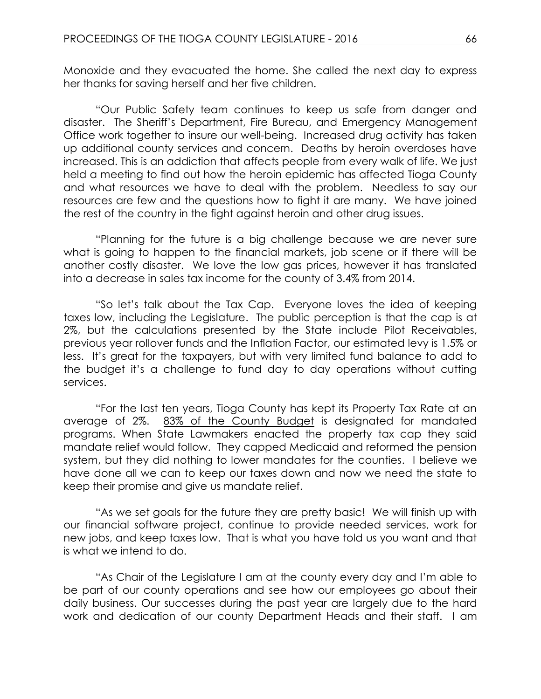Monoxide and they evacuated the home. She called the next day to express her thanks for saving herself and her five children.

"Our Public Safety team continues to keep us safe from danger and disaster. The Sheriff's Department, Fire Bureau, and Emergency Management Office work together to insure our well-being. Increased drug activity has taken up additional county services and concern. Deaths by heroin overdoses have increased. This is an addiction that affects people from every walk of life. We just held a meeting to find out how the heroin epidemic has affected Tioga County and what resources we have to deal with the problem. Needless to say our resources are few and the questions how to fight it are many. We have joined the rest of the country in the fight against heroin and other drug issues.

"Planning for the future is a big challenge because we are never sure what is going to happen to the financial markets, job scene or if there will be another costly disaster. We love the low gas prices, however it has translated into a decrease in sales tax income for the county of 3.4% from 2014.

"So let's talk about the Tax Cap. Everyone loves the idea of keeping taxes low, including the Legislature. The public perception is that the cap is at 2%, but the calculations presented by the State include Pilot Receivables, previous year rollover funds and the Inflation Factor, our estimated levy is 1.5% or less. It's great for the taxpayers, but with very limited fund balance to add to the budget it's a challenge to fund day to day operations without cutting services.

"For the last ten years, Tioga County has kept its Property Tax Rate at an average of 2%. 83% of the County Budget is designated for mandated programs. When State Lawmakers enacted the property tax cap they said mandate relief would follow. They capped Medicaid and reformed the pension system, but they did nothing to lower mandates for the counties. I believe we have done all we can to keep our taxes down and now we need the state to keep their promise and give us mandate relief.

"As we set goals for the future they are pretty basic! We will finish up with our financial software project, continue to provide needed services, work for new jobs, and keep taxes low. That is what you have told us you want and that is what we intend to do.

"As Chair of the Legislature I am at the county every day and I'm able to be part of our county operations and see how our employees go about their daily business. Our successes during the past year are largely due to the hard work and dedication of our county Department Heads and their staff. I am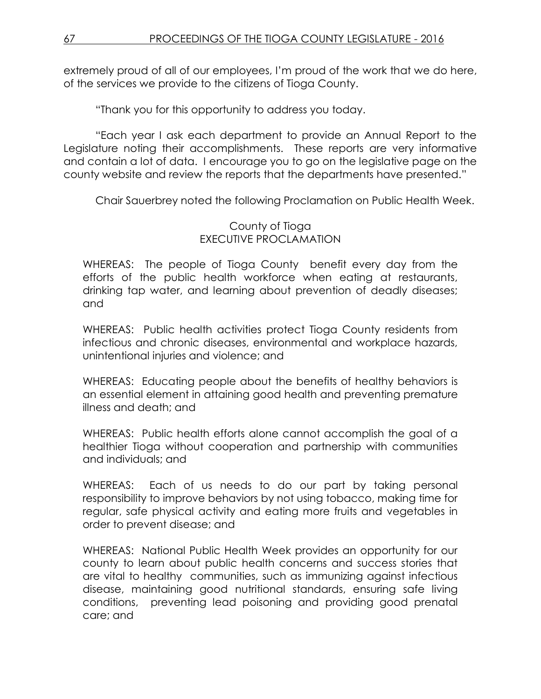extremely proud of all of our employees, I'm proud of the work that we do here, of the services we provide to the citizens of Tioga County.

"Thank you for this opportunity to address you today.

"Each year I ask each department to provide an Annual Report to the Legislature noting their accomplishments. These reports are very informative and contain a lot of data. I encourage you to go on the legislative page on the county website and review the reports that the departments have presented."

Chair Sauerbrey noted the following Proclamation on Public Health Week.

#### County of Tioga EXECUTIVE PROCLAMATION

WHEREAS: The people of Tioga County benefit every day from the efforts of the public health workforce when eating at restaurants, drinking tap water, and learning about prevention of deadly diseases; and

WHEREAS: Public health activities protect Tioga County residents from infectious and chronic diseases, environmental and workplace hazards, unintentional injuries and violence; and

WHEREAS: Educating people about the benefits of healthy behaviors is an essential element in attaining good health and preventing premature illness and death; and

WHEREAS: Public health efforts alone cannot accomplish the goal of a healthier Tioga without cooperation and partnership with communities and individuals; and

WHEREAS: Each of us needs to do our part by taking personal responsibility to improve behaviors by not using tobacco, making time for regular, safe physical activity and eating more fruits and vegetables in order to prevent disease; and

WHEREAS: National Public Health Week provides an opportunity for our county to learn about public health concerns and success stories that are vital to healthy communities, such as immunizing against infectious disease, maintaining good nutritional standards, ensuring safe living conditions, preventing lead poisoning and providing good prenatal care; and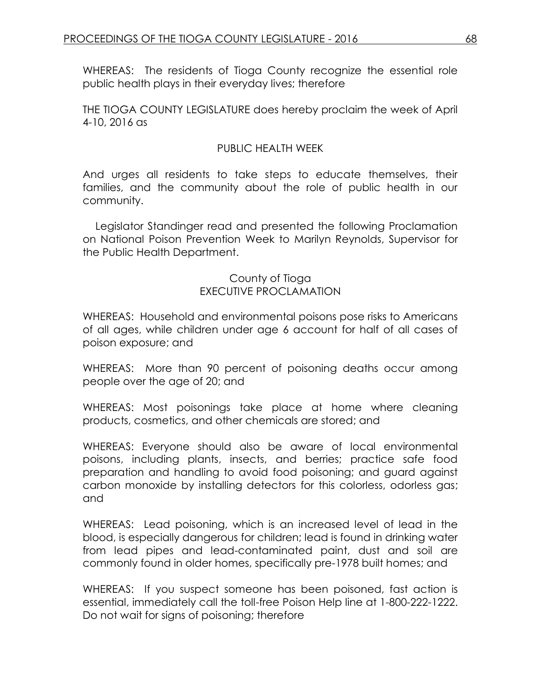WHEREAS: The residents of Tioga County recognize the essential role public health plays in their everyday lives; therefore

THE TIOGA COUNTY LEGISLATURE does hereby proclaim the week of April 4-10, 2016 as

## PUBLIC HEALTH WEEK

And urges all residents to take steps to educate themselves, their families, and the community about the role of public health in our community.

Legislator Standinger read and presented the following Proclamation on National Poison Prevention Week to Marilyn Reynolds, Supervisor for the Public Health Department.

## County of Tioga EXECUTIVE PROCLAMATION

WHEREAS: Household and environmental poisons pose risks to Americans of all ages, while children under age 6 account for half of all cases of poison exposure; and

WHEREAS: More than 90 percent of poisoning deaths occur among people over the age of 20; and

WHEREAS: Most poisonings take place at home where cleaning products, cosmetics, and other chemicals are stored; and

WHEREAS: Everyone should also be aware of local environmental poisons, including plants, insects, and berries; practice safe food preparation and handling to avoid food poisoning; and guard against carbon monoxide by installing detectors for this colorless, odorless gas; and

WHEREAS: Lead poisoning, which is an increased level of lead in the blood, is especially dangerous for children; lead is found in drinking water from lead pipes and lead-contaminated paint, dust and soil are commonly found in older homes, specifically pre-1978 built homes; and

WHEREAS: If you suspect someone has been poisoned, fast action is essential, immediately call the toll-free Poison Help line at 1-800-222-1222. Do not wait for signs of poisoning; therefore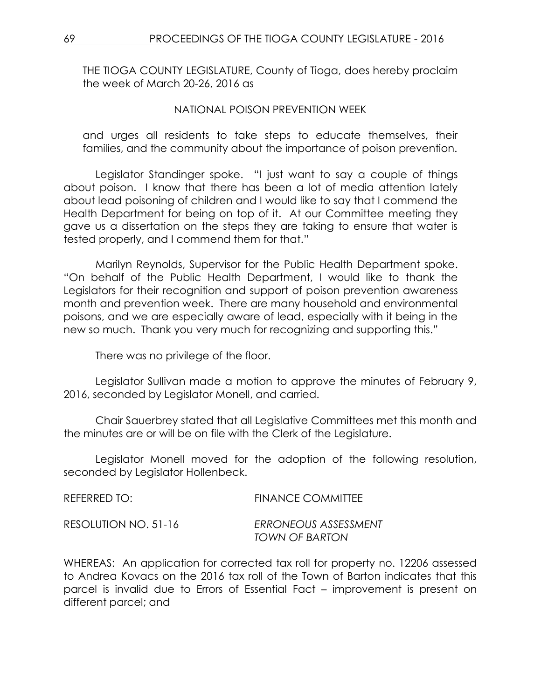THE TIOGA COUNTY LEGISLATURE, County of Tioga, does hereby proclaim the week of March 20-26, 2016 as

#### NATIONAL POISON PREVENTION WEEK

and urges all residents to take steps to educate themselves, their families, and the community about the importance of poison prevention.

Legislator Standinger spoke. "I just want to say a couple of things about poison. I know that there has been a lot of media attention lately about lead poisoning of children and I would like to say that I commend the Health Department for being on top of it. At our Committee meeting they gave us a dissertation on the steps they are taking to ensure that water is tested properly, and I commend them for that."

Marilyn Reynolds, Supervisor for the Public Health Department spoke. "On behalf of the Public Health Department, I would like to thank the Legislators for their recognition and support of poison prevention awareness month and prevention week. There are many household and environmental poisons, and we are especially aware of lead, especially with it being in the new so much. Thank you very much for recognizing and supporting this."

There was no privilege of the floor.

Legislator Sullivan made a motion to approve the minutes of February 9, 2016, seconded by Legislator Monell, and carried.

Chair Sauerbrey stated that all Legislative Committees met this month and the minutes are or will be on file with the Clerk of the Legislature.

Legislator Monell moved for the adoption of the following resolution, seconded by Legislator Hollenbeck.

| REFERRED TO:         | <b>FINANCE COMMITTEE</b>               |
|----------------------|----------------------------------------|
| RESOLUTION NO. 51-16 | ERRONEOUS ASSESSMENT<br>TOWN OF BARTON |

WHEREAS: An application for corrected tax roll for property no. 12206 assessed to Andrea Kovacs on the 2016 tax roll of the Town of Barton indicates that this parcel is invalid due to Errors of Essential Fact – improvement is present on different parcel; and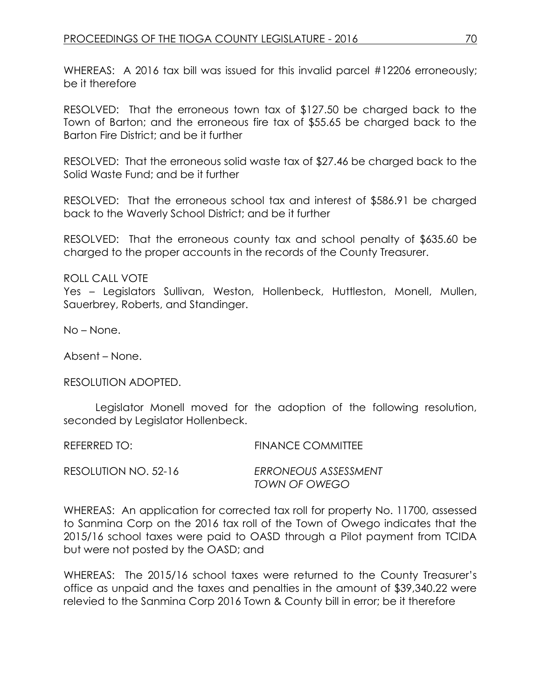WHEREAS: A 2016 tax bill was issued for this invalid parcel #12206 erroneously; be it therefore

RESOLVED: That the erroneous town tax of \$127.50 be charged back to the Town of Barton; and the erroneous fire tax of \$55.65 be charged back to the Barton Fire District; and be it further

RESOLVED: That the erroneous solid waste tax of \$27.46 be charged back to the Solid Waste Fund; and be it further

RESOLVED: That the erroneous school tax and interest of \$586.91 be charged back to the Waverly School District; and be it further

RESOLVED: That the erroneous county tax and school penalty of \$635.60 be charged to the proper accounts in the records of the County Treasurer.

ROLL CALL VOTE

Yes – Legislators Sullivan, Weston, Hollenbeck, Huttleston, Monell, Mullen, Sauerbrey, Roberts, and Standinger.

No – None.

Absent – None.

RESOLUTION ADOPTED.

Legislator Monell moved for the adoption of the following resolution, seconded by Legislator Hollenbeck.

REFERRED TO: FINANCE COMMITTEE

RESOLUTION NO. 52-16 *ERRONEOUS ASSESSMENT TOWN OF OWEGO*

WHEREAS: An application for corrected tax roll for property No. 11700, assessed to Sanmina Corp on the 2016 tax roll of the Town of Owego indicates that the 2015/16 school taxes were paid to OASD through a Pilot payment from TCIDA but were not posted by the OASD; and

WHEREAS: The 2015/16 school taxes were returned to the County Treasurer's office as unpaid and the taxes and penalties in the amount of \$39,340.22 were relevied to the Sanmina Corp 2016 Town & County bill in error; be it therefore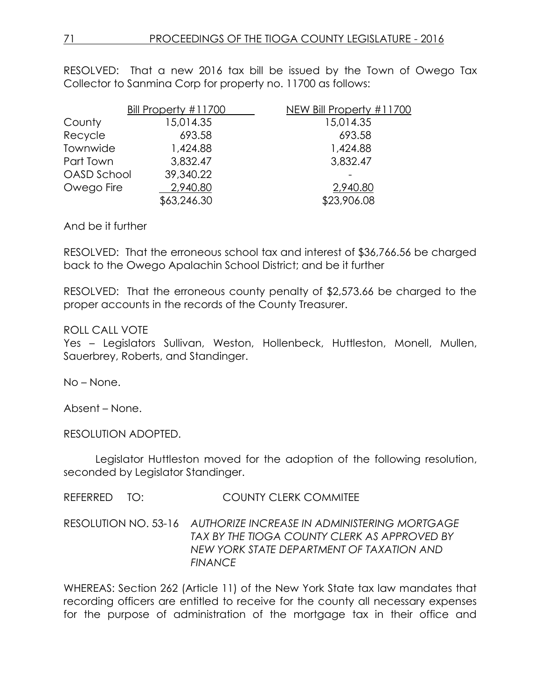RESOLVED: That a new 2016 tax bill be issued by the Town of Owego Tax Collector to Sanmina Corp for property no. 11700 as follows:

|                    | Bill Property #11700 | NEW Bill Property #11700 |
|--------------------|----------------------|--------------------------|
| County             | 15,014.35            | 15,014.35                |
| Recycle            | 693.58               | 693.58                   |
| Townwide           | 1,424.88             | 1,424.88                 |
| Part Town          | 3,832.47             | 3,832.47                 |
| <b>OASD School</b> | 39,340.22            |                          |
| Owego Fire         | 2,940.80             | 2,940.80                 |
|                    | \$63,246.30          | \$23,906.08              |

#### And be it further

RESOLVED: That the erroneous school tax and interest of \$36,766.56 be charged back to the Owego Apalachin School District; and be it further

RESOLVED: That the erroneous county penalty of \$2,573.66 be charged to the proper accounts in the records of the County Treasurer.

#### ROLL CALL VOTE

Yes – Legislators Sullivan, Weston, Hollenbeck, Huttleston, Monell, Mullen, Sauerbrey, Roberts, and Standinger.

No – None.

Absent – None.

RESOLUTION ADOPTED.

Legislator Huttleston moved for the adoption of the following resolution, seconded by Legislator Standinger.

REFERRED TO: COUNTY CLERK COMMITEE

RESOLUTION NO. 53-16 *AUTHORIZE INCREASE IN ADMINISTERING MORTGAGE TAX BY THE TIOGA COUNTY CLERK AS APPROVED BY NEW YORK STATE DEPARTMENT OF TAXATION AND FINANCE*

WHEREAS: Section 262 (Article 11) of the New York State tax law mandates that recording officers are entitled to receive for the county all necessary expenses for the purpose of administration of the mortgage tax in their office and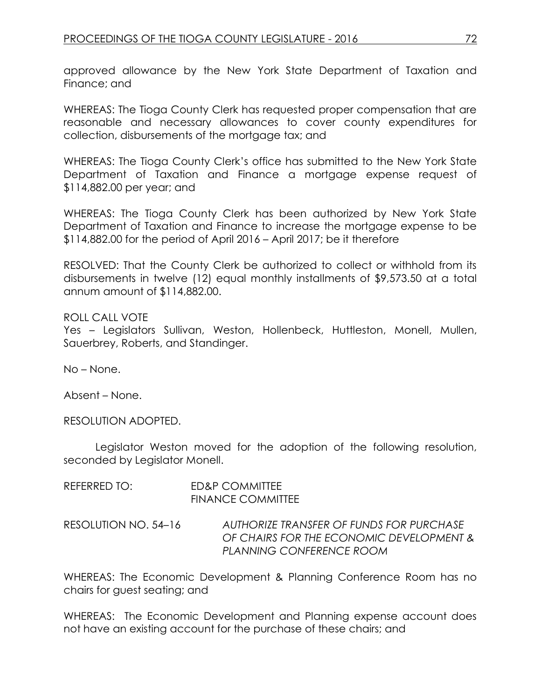approved allowance by the New York State Department of Taxation and Finance; and

WHEREAS: The Tioga County Clerk has requested proper compensation that are reasonable and necessary allowances to cover county expenditures for collection, disbursements of the mortgage tax; and

WHEREAS: The Tioga County Clerk's office has submitted to the New York State Department of Taxation and Finance a mortgage expense request of \$114,882.00 per year; and

WHEREAS: The Tioga County Clerk has been authorized by New York State Department of Taxation and Finance to increase the mortgage expense to be \$114,882.00 for the period of April 2016 – April 2017; be it therefore

RESOLVED: That the County Clerk be authorized to collect or withhold from its disbursements in twelve (12) equal monthly installments of \$9,573.50 at a total annum amount of \$114,882.00.

ROLL CALL VOTE Yes – Legislators Sullivan, Weston, Hollenbeck, Huttleston, Monell, Mullen, Sauerbrey, Roberts, and Standinger.

No – None.

Absent – None.

RESOLUTION ADOPTED.

Legislator Weston moved for the adoption of the following resolution, seconded by Legislator Monell.

REFERRED TO: ED&P COMMITTEE FINANCE COMMITTEE

RESOLUTION NO. 54–16 *AUTHORIZE TRANSFER OF FUNDS FOR PURCHASE OF CHAIRS FOR THE ECONOMIC DEVELOPMENT & PLANNING CONFERENCE ROOM*

WHEREAS: The Economic Development & Planning Conference Room has no chairs for guest seating; and

WHEREAS: The Economic Development and Planning expense account does not have an existing account for the purchase of these chairs; and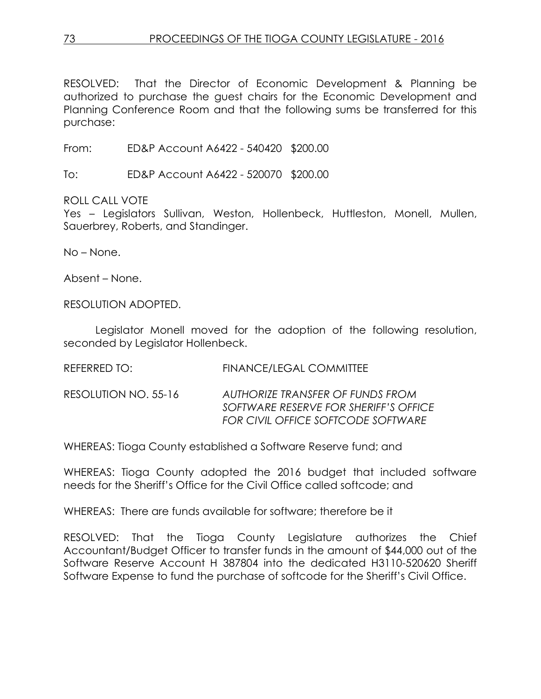RESOLVED: That the Director of Economic Development & Planning be authorized to purchase the guest chairs for the Economic Development and Planning Conference Room and that the following sums be transferred for this purchase:

From: ED&P Account A6422 - 540420 \$200.00

To: ED&P Account A6422 - 520070 \$200.00

ROLL CALL VOTE

Yes – Legislators Sullivan, Weston, Hollenbeck, Huttleston, Monell, Mullen, Sauerbrey, Roberts, and Standinger.

No – None.

Absent – None.

RESOLUTION ADOPTED.

Legislator Monell moved for the adoption of the following resolution, seconded by Legislator Hollenbeck.

REFERRED TO: FINANCE/LEGAL COMMITTEE

RESOLUTION NO. 55-16 *AUTHORIZE TRANSFER OF FUNDS FROM SOFTWARE RESERVE FOR SHERIFF'S OFFICE FOR CIVIL OFFICE SOFTCODE SOFTWARE*

WHEREAS: Tioga County established a Software Reserve fund; and

WHEREAS: Tioga County adopted the 2016 budget that included software needs for the Sheriff's Office for the Civil Office called softcode; and

WHEREAS: There are funds available for software; therefore be it

RESOLVED: That the Tioga County Legislature authorizes the Chief Accountant/Budget Officer to transfer funds in the amount of \$44,000 out of the Software Reserve Account H 387804 into the dedicated H3110-520620 Sheriff Software Expense to fund the purchase of softcode for the Sheriff's Civil Office.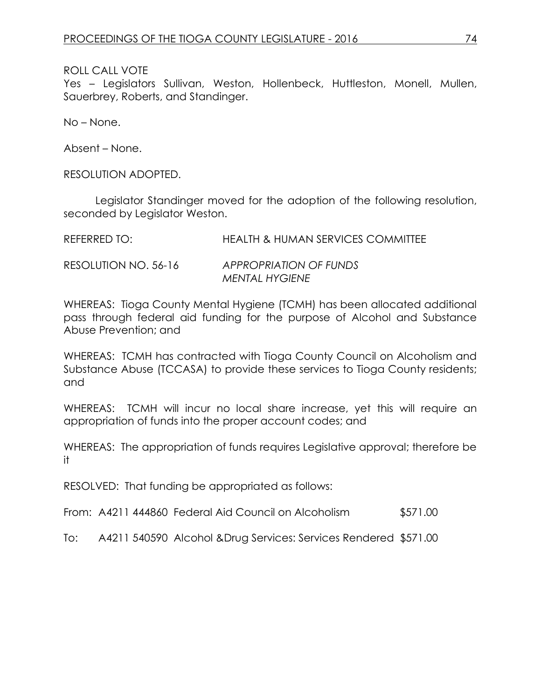Yes – Legislators Sullivan, Weston, Hollenbeck, Huttleston, Monell, Mullen, Sauerbrey, Roberts, and Standinger.

No – None.

Absent – None.

RESOLUTION ADOPTED.

Legislator Standinger moved for the adoption of the following resolution, seconded by Legislator Weston.

| REFERRED TO:         | <b>HEALTH &amp; HUMAN SERVICES COMMITTEE</b> |
|----------------------|----------------------------------------------|
| RESOLUTION NO. 56-16 | APPROPRIATION OF FUNDS                       |
|                      | MENTAL HYGIENE                               |

WHEREAS: Tioga County Mental Hygiene (TCMH) has been allocated additional pass through federal aid funding for the purpose of Alcohol and Substance Abuse Prevention; and

WHEREAS: TCMH has contracted with Tioga County Council on Alcoholism and Substance Abuse (TCCASA) to provide these services to Tioga County residents; and

WHEREAS: TCMH will incur no local share increase, yet this will require an appropriation of funds into the proper account codes; and

WHEREAS: The appropriation of funds requires Legislative approval; therefore be it

RESOLVED: That funding be appropriated as follows:

From: A4211 444860 Federal Aid Council on Alcoholism \$571.00

To: A4211 540590 Alcohol &Drug Services: Services Rendered \$571.00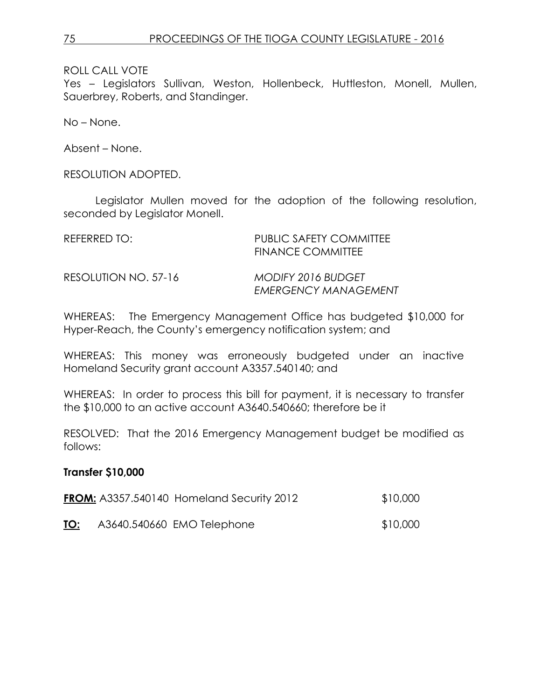Yes – Legislators Sullivan, Weston, Hollenbeck, Huttleston, Monell, Mullen, Sauerbrey, Roberts, and Standinger.

No – None.

Absent – None.

RESOLUTION ADOPTED.

Legislator Mullen moved for the adoption of the following resolution, seconded by Legislator Monell.

| REFERRED TO: I       | <b>PUBLIC SAFETY COMMITTEE</b><br>FINANCE COMMITTEE      |
|----------------------|----------------------------------------------------------|
| RESOLUTION NO. 57-16 | <b>MODIFY 2016 BUDGET</b><br><b>EMERGENCY MANAGEMENT</b> |

WHEREAS: The Emergency Management Office has budgeted \$10,000 for Hyper-Reach, the County's emergency notification system; and

WHEREAS: This money was erroneously budgeted under an inactive Homeland Security grant account A3357.540140; and

WHEREAS: In order to process this bill for payment, it is necessary to transfer the \$10,000 to an active account A3640.540660; therefore be it

RESOLVED: That the 2016 Emergency Management budget be modified as follows:

## **Transfer \$10,000**

|     | <b>FROM:</b> A3357.540140 Homeland Security 2012 | \$10,000 |
|-----|--------------------------------------------------|----------|
| TO: | A3640.540660 EMO Telephone                       | \$10,000 |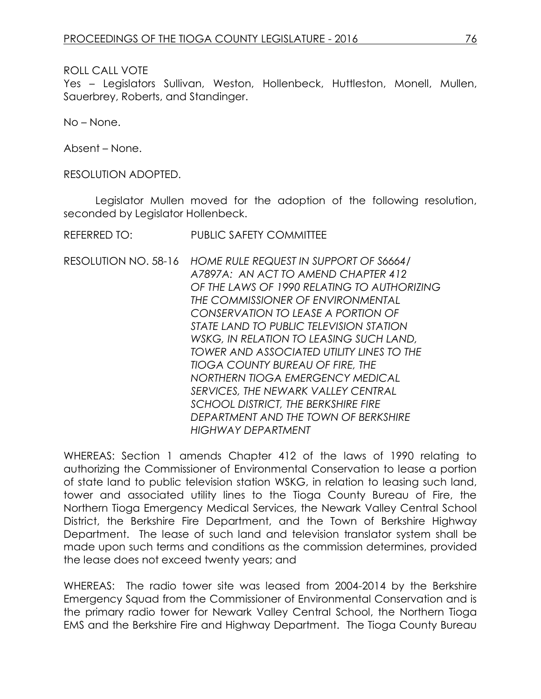Yes – Legislators Sullivan, Weston, Hollenbeck, Huttleston, Monell, Mullen, Sauerbrey, Roberts, and Standinger.

No – None.

Absent – None.

RESOLUTION ADOPTED.

Legislator Mullen moved for the adoption of the following resolution, seconded by Legislator Hollenbeck.

REFERRED TO: PUBLIC SAFETY COMMITTEE

RESOLUTION NO. 58-16 *HOME RULE REQUEST IN SUPPORT OF S6664/ A7897A: AN ACT TO AMEND CHAPTER 412 OF THE LAWS OF 1990 RELATING TO AUTHORIZING THE COMMISSIONER OF ENVIRONMENTAL CONSERVATION TO LEASE A PORTION OF STATE LAND TO PUBLIC TELEVISION STATION WSKG, IN RELATION TO LEASING SUCH LAND, TOWER AND ASSOCIATED UTILITY LINES TO THE TIOGA COUNTY BUREAU OF FIRE, THE NORTHERN TIOGA EMERGENCY MEDICAL SERVICES, THE NEWARK VALLEY CENTRAL SCHOOL DISTRICT, THE BERKSHIRE FIRE DEPARTMENT AND THE TOWN OF BERKSHIRE HIGHWAY DEPARTMENT*

WHEREAS: Section 1 amends Chapter 412 of the laws of 1990 relating to authorizing the Commissioner of Environmental Conservation to lease a portion of state land to public television station WSKG, in relation to leasing such land, tower and associated utility lines to the Tioga County Bureau of Fire, the Northern Tioga Emergency Medical Services, the Newark Valley Central School District, the Berkshire Fire Department, and the Town of Berkshire Highway Department. The lease of such land and television translator system shall be made upon such terms and conditions as the commission determines, provided the lease does not exceed twenty years; and

WHEREAS: The radio tower site was leased from 2004-2014 by the Berkshire Emergency Squad from the Commissioner of Environmental Conservation and is the primary radio tower for Newark Valley Central School, the Northern Tioga EMS and the Berkshire Fire and Highway Department. The Tioga County Bureau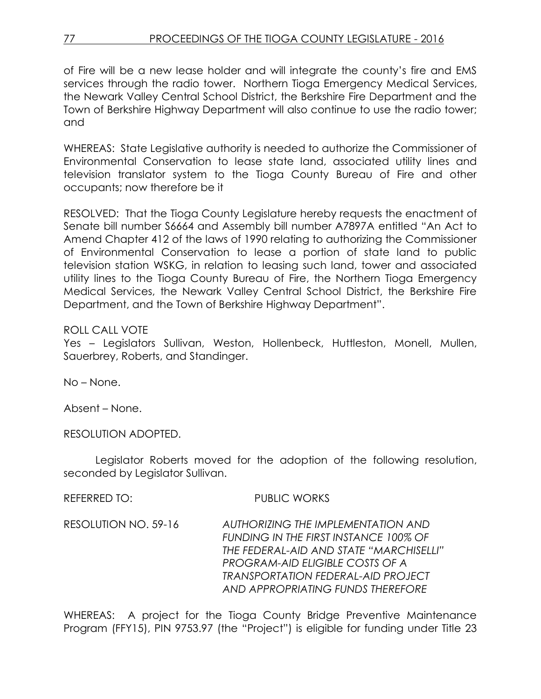of Fire will be a new lease holder and will integrate the county's fire and EMS services through the radio tower. Northern Tioga Emergency Medical Services, the Newark Valley Central School District, the Berkshire Fire Department and the Town of Berkshire Highway Department will also continue to use the radio tower; and

WHEREAS: State Legislative authority is needed to authorize the Commissioner of Environmental Conservation to lease state land, associated utility lines and television translator system to the Tioga County Bureau of Fire and other occupants; now therefore be it

RESOLVED: That the Tioga County Legislature hereby requests the enactment of Senate bill number S6664 and Assembly bill number A7897A entitled "An Act to Amend Chapter 412 of the laws of 1990 relating to authorizing the Commissioner of Environmental Conservation to lease a portion of state land to public television station WSKG, in relation to leasing such land, tower and associated utility lines to the Tioga County Bureau of Fire, the Northern Tioga Emergency Medical Services, the Newark Valley Central School District, the Berkshire Fire Department, and the Town of Berkshire Highway Department".

## ROLL CALL VOTE

Yes – Legislators Sullivan, Weston, Hollenbeck, Huttleston, Monell, Mullen, Sauerbrey, Roberts, and Standinger.

No – None.

Absent – None.

RESOLUTION ADOPTED.

Legislator Roberts moved for the adoption of the following resolution, seconded by Legislator Sullivan.

REFERRED TO: PUBLIC WORKS

RESOLUTION NO. 59-16 *AUTHORIZING THE IMPLEMENTATION AND FUNDING IN THE FIRST INSTANCE 100% OF THE FEDERAL-AID AND STATE "MARCHISELLI" PROGRAM-AID ELIGIBLE COSTS OF A TRANSPORTATION FEDERAL-AID PROJECT AND APPROPRIATING FUNDS THEREFORE*

WHEREAS: A project for the Tioga County Bridge Preventive Maintenance Program (FFY15), PIN 9753.97 (the "Project") is eligible for funding under Title 23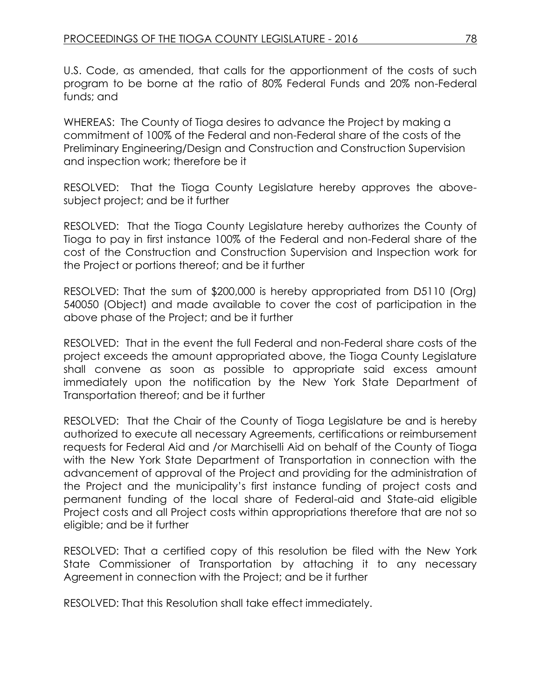U.S. Code, as amended, that calls for the apportionment of the costs of such program to be borne at the ratio of 80% Federal Funds and 20% non-Federal funds; and

WHEREAS: The County of Tioga desires to advance the Project by making a commitment of 100% of the Federal and non-Federal share of the costs of the Preliminary Engineering/Design and Construction and Construction Supervision and inspection work; therefore be it

RESOLVED: That the Tioga County Legislature hereby approves the abovesubject project; and be it further

RESOLVED: That the Tioga County Legislature hereby authorizes the County of Tioga to pay in first instance 100% of the Federal and non-Federal share of the cost of the Construction and Construction Supervision and Inspection work for the Project or portions thereof; and be it further

RESOLVED: That the sum of \$200,000 is hereby appropriated from D5110 (Org) 540050 (Object) and made available to cover the cost of participation in the above phase of the Project; and be it further

RESOLVED: That in the event the full Federal and non-Federal share costs of the project exceeds the amount appropriated above, the Tioga County Legislature shall convene as soon as possible to appropriate said excess amount immediately upon the notification by the New York State Department of Transportation thereof; and be it further

RESOLVED: That the Chair of the County of Tioga Legislature be and is hereby authorized to execute all necessary Agreements, certifications or reimbursement requests for Federal Aid and /or Marchiselli Aid on behalf of the County of Tioga with the New York State Department of Transportation in connection with the advancement of approval of the Project and providing for the administration of the Project and the municipality's first instance funding of project costs and permanent funding of the local share of Federal-aid and State-aid eligible Project costs and all Project costs within appropriations therefore that are not so eligible; and be it further

RESOLVED: That a certified copy of this resolution be filed with the New York State Commissioner of Transportation by attaching it to any necessary Agreement in connection with the Project; and be it further

RESOLVED: That this Resolution shall take effect immediately.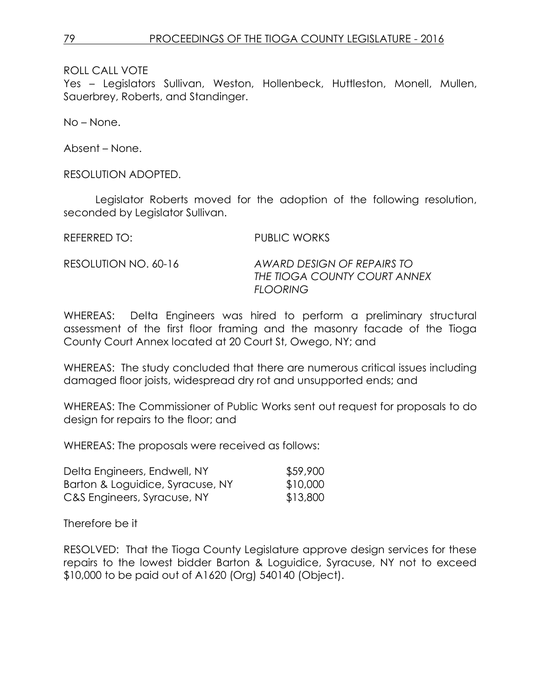Yes – Legislators Sullivan, Weston, Hollenbeck, Huttleston, Monell, Mullen, Sauerbrey, Roberts, and Standinger.

No – None.

Absent – None.

RESOLUTION ADOPTED.

Legislator Roberts moved for the adoption of the following resolution, seconded by Legislator Sullivan.

REFERRED TO: PUBLIC WORKS

RESOLUTION NO. 60-16 *AWARD DESIGN OF REPAIRS TO THE TIOGA COUNTY COURT ANNEX FLOORING*

WHEREAS: Delta Engineers was hired to perform a preliminary structural assessment of the first floor framing and the masonry facade of the Tioga County Court Annex located at 20 Court St, Owego, NY; and

WHEREAS: The study concluded that there are numerous critical issues including damaged floor joists, widespread dry rot and unsupported ends; and

WHEREAS: The Commissioner of Public Works sent out request for proposals to do design for repairs to the floor; and

WHEREAS: The proposals were received as follows:

| Delta Engineers, Endwell, NY     | \$59,900 |
|----------------------------------|----------|
| Barton & Loguidice, Syracuse, NY | \$10,000 |
| C&S Engineers, Syracuse, NY      | \$13,800 |

Therefore be it

RESOLVED: That the Tioga County Legislature approve design services for these repairs to the lowest bidder Barton & Loguidice, Syracuse, NY not to exceed \$10,000 to be paid out of A1620 (Org) 540140 (Object).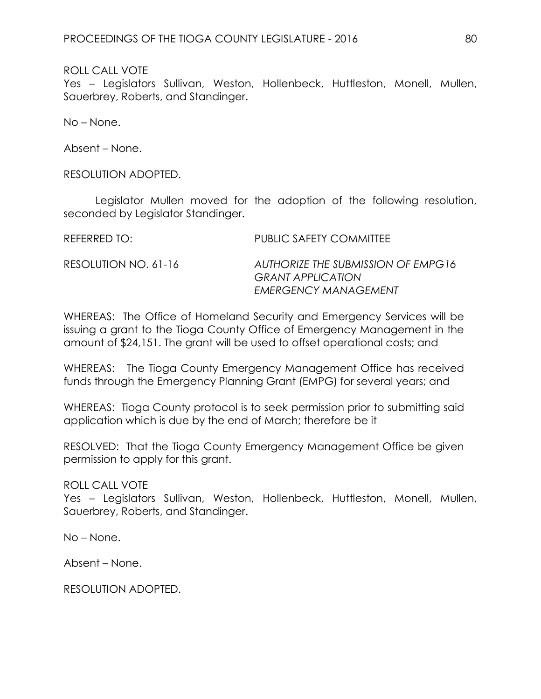Yes – Legislators Sullivan, Weston, Hollenbeck, Huttleston, Monell, Mullen, Sauerbrey, Roberts, and Standinger.

No – None.

Absent – None.

RESOLUTION ADOPTED.

Legislator Mullen moved for the adoption of the following resolution, seconded by Legislator Standinger.

REFERRED TO: PUBLIC SAFETY COMMITTEE RESOLUTION NO. 61-16 *AUTHORIZE THE SUBMISSION OF EMPG16 GRANT APPLICATION EMERGENCY MANAGEMENT*

WHEREAS: The Office of Homeland Security and Emergency Services will be issuing a grant to the Tioga County Office of Emergency Management in the amount of \$24,151. The grant will be used to offset operational costs; and

WHEREAS: The Tioga County Emergency Management Office has received funds through the Emergency Planning Grant (EMPG) for several years; and

WHEREAS: Tioga County protocol is to seek permission prior to submitting said application which is due by the end of March; therefore be it

RESOLVED: That the Tioga County Emergency Management Office be given permission to apply for this grant.

ROLL CALL VOTE

Yes – Legislators Sullivan, Weston, Hollenbeck, Huttleston, Monell, Mullen, Sauerbrey, Roberts, and Standinger.

No – None.

Absent – None.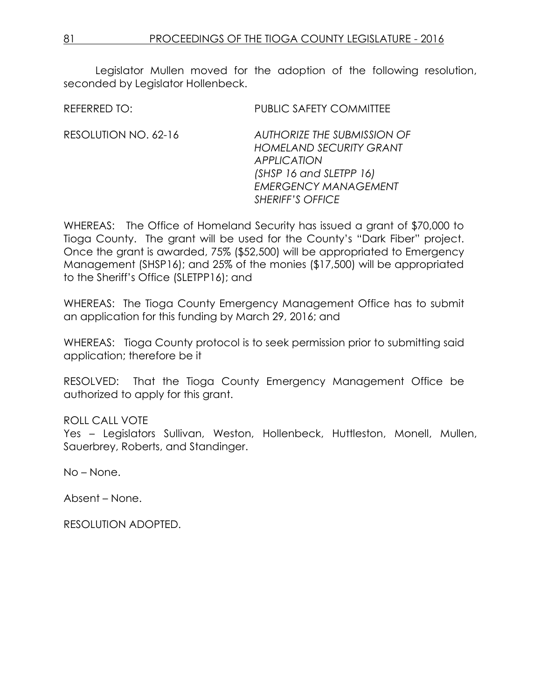Legislator Mullen moved for the adoption of the following resolution, seconded by Legislator Hollenbeck.

REFERRED TO: PUBLIC SAFETY COMMITTEE

RESOLUTION NO. 62-16 *AUTHORIZE THE SUBMISSION OF HOMELAND SECURITY GRANT APPLICATION (SHSP 16 and SLETPP 16) EMERGENCY MANAGEMENT SHERIFF'S OFFICE*

WHEREAS: The Office of Homeland Security has issued a grant of \$70,000 to Tioga County. The grant will be used for the County's "Dark Fiber" project. Once the grant is awarded, 75% (\$52,500) will be appropriated to Emergency Management (SHSP16); and 25% of the monies (\$17,500) will be appropriated to the Sheriff's Office (SLETPP16); and

WHEREAS: The Tioga County Emergency Management Office has to submit an application for this funding by March 29, 2016; and

WHEREAS: Tioga County protocol is to seek permission prior to submitting said application; therefore be it

RESOLVED: That the Tioga County Emergency Management Office be authorized to apply for this grant.

## ROLL CALL VOTE

Yes – Legislators Sullivan, Weston, Hollenbeck, Huttleston, Monell, Mullen, Sauerbrey, Roberts, and Standinger.

No – None.

Absent – None.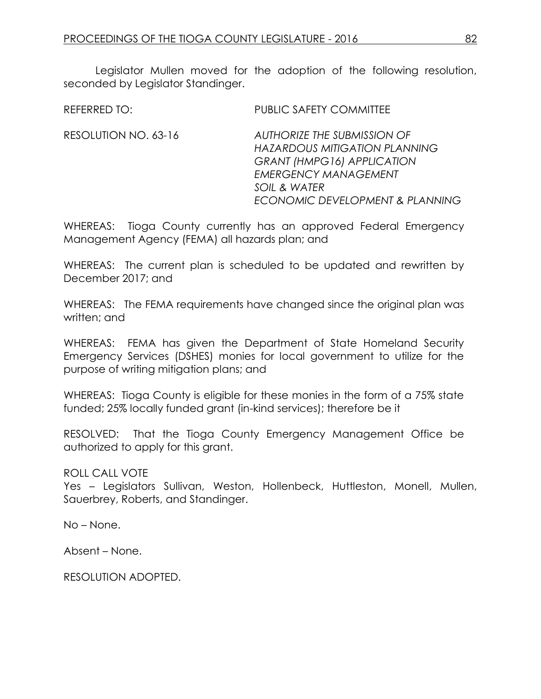Legislator Mullen moved for the adoption of the following resolution, seconded by Legislator Standinger.

REFERRED TO: PUBLIC SAFETY COMMITTEE

RESOLUTION NO. 63-16 *AUTHORIZE THE SUBMISSION OF HAZARDOUS MITIGATION PLANNING GRANT (HMPG16) APPLICATION EMERGENCY MANAGEMENT SOIL & WATER ECONOMIC DEVELOPMENT & PLANNING*

WHEREAS: Tioga County currently has an approved Federal Emergency Management Agency (FEMA) all hazards plan; and

WHEREAS: The current plan is scheduled to be updated and rewritten by December 2017; and

WHEREAS: The FEMA requirements have changed since the original plan was written; and

WHEREAS: FEMA has given the Department of State Homeland Security Emergency Services (DSHES) monies for local government to utilize for the purpose of writing mitigation plans; and

WHEREAS: Tioga County is eligible for these monies in the form of a 75% state funded; 25% locally funded grant (in-kind services); therefore be it

RESOLVED: That the Tioga County Emergency Management Office be authorized to apply for this grant.

## ROLL CALL VOTE

Yes – Legislators Sullivan, Weston, Hollenbeck, Huttleston, Monell, Mullen, Sauerbrey, Roberts, and Standinger.

No – None.

Absent – None.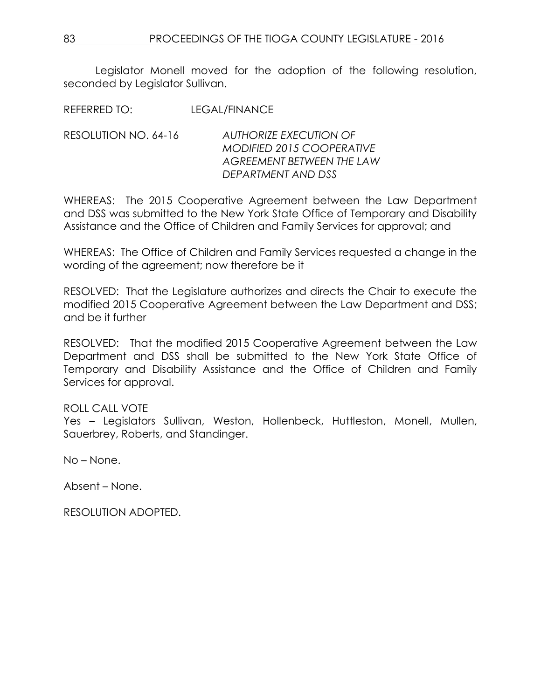Legislator Monell moved for the adoption of the following resolution, seconded by Legislator Sullivan.

REFERRED TO: LEGAL/FINANCE

RESOLUTION NO. 64-16 *AUTHORIZE EXECUTION OF MODIFIED 2015 COOPERATIVE AGREEMENT BETWEEN THE LAW DEPARTMENT AND DSS* 

WHEREAS: The 2015 Cooperative Agreement between the Law Department and DSS was submitted to the New York State Office of Temporary and Disability Assistance and the Office of Children and Family Services for approval; and

WHEREAS: The Office of Children and Family Services requested a change in the wording of the agreement; now therefore be it

RESOLVED: That the Legislature authorizes and directs the Chair to execute the modified 2015 Cooperative Agreement between the Law Department and DSS; and be it further

RESOLVED: That the modified 2015 Cooperative Agreement between the Law Department and DSS shall be submitted to the New York State Office of Temporary and Disability Assistance and the Office of Children and Family Services for approval.

## ROLL CALL VOTE

Yes – Legislators Sullivan, Weston, Hollenbeck, Huttleston, Monell, Mullen, Sauerbrey, Roberts, and Standinger.

No – None.

Absent – None.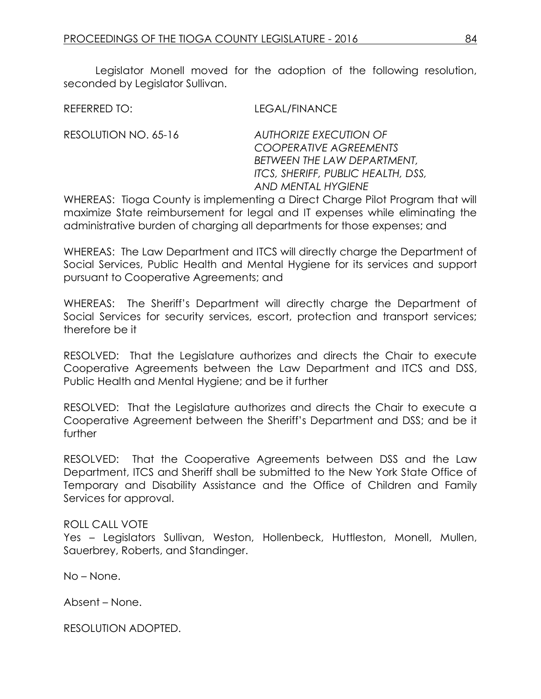Legislator Monell moved for the adoption of the following resolution, seconded by Legislator Sullivan.

REFERRED TO: LEGAL/FINANCE

RESOLUTION NO. 65-16 *AUTHORIZE EXECUTION OF* 

*COOPERATIVE AGREEMENTS BETWEEN THE LAW DEPARTMENT, ITCS, SHERIFF, PUBLIC HEALTH, DSS, AND MENTAL HYGIENE*

WHEREAS: Tioga County is implementing a Direct Charge Pilot Program that will maximize State reimbursement for legal and IT expenses while eliminating the administrative burden of charging all departments for those expenses; and

WHEREAS: The Law Department and ITCS will directly charge the Department of Social Services, Public Health and Mental Hygiene for its services and support pursuant to Cooperative Agreements; and

WHEREAS: The Sheriff's Department will directly charge the Department of Social Services for security services, escort, protection and transport services; therefore be it

RESOLVED: That the Legislature authorizes and directs the Chair to execute Cooperative Agreements between the Law Department and ITCS and DSS, Public Health and Mental Hygiene; and be it further

RESOLVED: That the Legislature authorizes and directs the Chair to execute a Cooperative Agreement between the Sheriff's Department and DSS; and be it further

RESOLVED: That the Cooperative Agreements between DSS and the Law Department, ITCS and Sheriff shall be submitted to the New York State Office of Temporary and Disability Assistance and the Office of Children and Family Services for approval.

## ROLL CALL VOTE

Yes – Legislators Sullivan, Weston, Hollenbeck, Huttleston, Monell, Mullen, Sauerbrey, Roberts, and Standinger.

No – None.

Absent – None.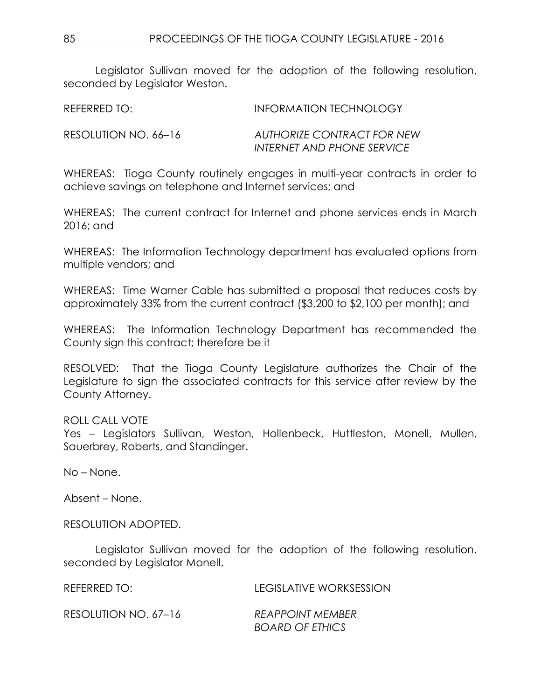Legislator Sullivan moved for the adoption of the following resolution, seconded by Legislator Weston.

| REFERRED TO: | <b>INFORMATION TECHNOLOGY</b> |
|--------------|-------------------------------|
|              |                               |

RESOLUTION NO. 66–16 *AUTHORIZE CONTRACT FOR NEW INTERNET AND PHONE SERVICE*

WHEREAS: Tioga County routinely engages in multi-year contracts in order to achieve savings on telephone and Internet services; and

WHEREAS: The current contract for Internet and phone services ends in March 2016; and

WHEREAS: The Information Technology department has evaluated options from multiple vendors; and

WHEREAS: Time Warner Cable has submitted a proposal that reduces costs by approximately 33% from the current contract (\$3,200 to \$2,100 per month); and

WHEREAS: The Information Technology Department has recommended the County sign this contract; therefore be it

RESOLVED: That the Tioga County Legislature authorizes the Chair of the Legislature to sign the associated contracts for this service after review by the County Attorney.

## ROLL CALL VOTE

Yes – Legislators Sullivan, Weston, Hollenbeck, Huttleston, Monell, Mullen, Sauerbrey, Roberts, and Standinger.

No – None.

Absent – None.

RESOLUTION ADOPTED.

Legislator Sullivan moved for the adoption of the following resolution, seconded by Legislator Monell.

| REFERRED TO:         | LEGISLATIVE WORKSESSION |
|----------------------|-------------------------|
| RESOLUTION NO. 67-16 | <b>REAPPOINT MEMBER</b> |
|                      | <b>BOARD OF ETHICS</b>  |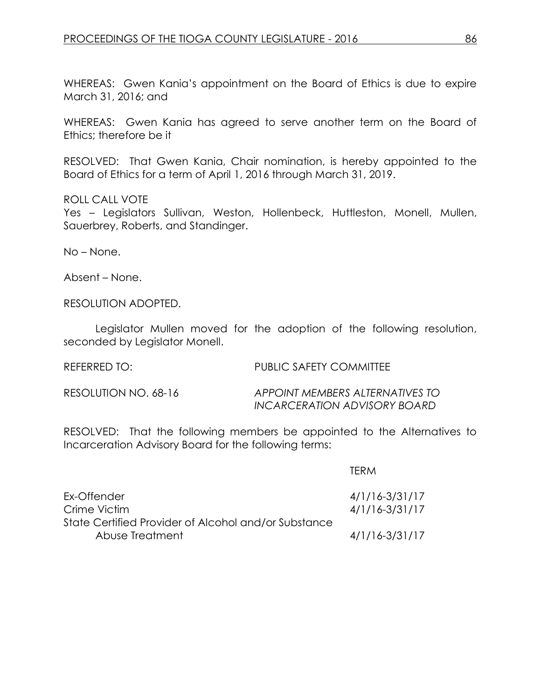WHEREAS: Gwen Kania's appointment on the Board of Ethics is due to expire March 31, 2016; and

WHEREAS: Gwen Kania has agreed to serve another term on the Board of Ethics; therefore be it

RESOLVED: That Gwen Kania, Chair nomination, is hereby appointed to the Board of Ethics for a term of April 1, 2016 through March 31, 2019.

ROLL CALL VOTE

Yes – Legislators Sullivan, Weston, Hollenbeck, Huttleston, Monell, Mullen, Sauerbrey, Roberts, and Standinger.

No – None.

Absent – None.

RESOLUTION ADOPTED.

Legislator Mullen moved for the adoption of the following resolution, seconded by Legislator Monell.

REFERRED TO: PUBLIC SAFETY COMMITTEE

RESOLUTION NO. 68-16 *APPOINT MEMBERS ALTERNATIVES TO INCARCERATION ADVISORY BOARD*

RESOLVED: That the following members be appointed to the Alternatives to Incarceration Advisory Board for the following terms:

|                                                      | TFRM               |
|------------------------------------------------------|--------------------|
| Ex-Offender                                          | $4/1/16 - 3/31/17$ |
| Crime Victim                                         | $4/1/16 - 3/31/17$ |
| State Certified Provider of Alcohol and/or Substance |                    |
| Abuse Treatment                                      | $4/1/16 - 3/31/17$ |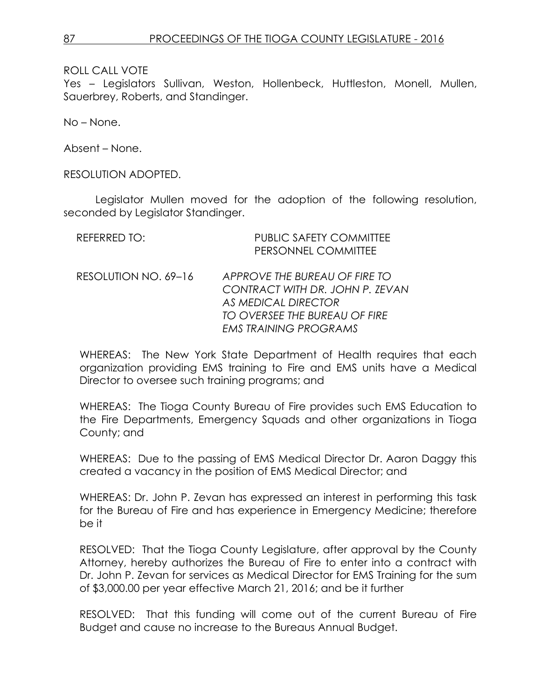Yes – Legislators Sullivan, Weston, Hollenbeck, Huttleston, Monell, Mullen, Sauerbrey, Roberts, and Standinger.

No – None.

Absent – None.

#### RESOLUTION ADOPTED.

Legislator Mullen moved for the adoption of the following resolution, seconded by Legislator Standinger.

| REFERRED TO:         | <b>PUBLIC SAFETY COMMITTEE</b><br>PERSONNEL COMMITTEE                                                                                                           |
|----------------------|-----------------------------------------------------------------------------------------------------------------------------------------------------------------|
| RESOLUTION NO. 69-16 | APPROVE THE BUREAU OF FIRE TO<br>CONTRACT WITH DR. JOHN P. ZEVAN<br><b>AS MEDICAL DIRECTOR</b><br>TO OVERSEE THE BUREAU OF FIRE<br><b>EMS TRAINING PROGRAMS</b> |

WHEREAS: The New York State Department of Health requires that each organization providing EMS training to Fire and EMS units have a Medical Director to oversee such training programs; and

WHEREAS: The Tioga County Bureau of Fire provides such EMS Education to the Fire Departments, Emergency Squads and other organizations in Tioga County; and

WHEREAS: Due to the passing of EMS Medical Director Dr. Aaron Daggy this created a vacancy in the position of EMS Medical Director; and

WHEREAS: Dr. John P. Zevan has expressed an interest in performing this task for the Bureau of Fire and has experience in Emergency Medicine; therefore be it

RESOLVED: That the Tioga County Legislature, after approval by the County Attorney, hereby authorizes the Bureau of Fire to enter into a contract with Dr. John P. Zevan for services as Medical Director for EMS Training for the sum of \$3,000.00 per year effective March 21, 2016; and be it further

RESOLVED: That this funding will come out of the current Bureau of Fire Budget and cause no increase to the Bureaus Annual Budget.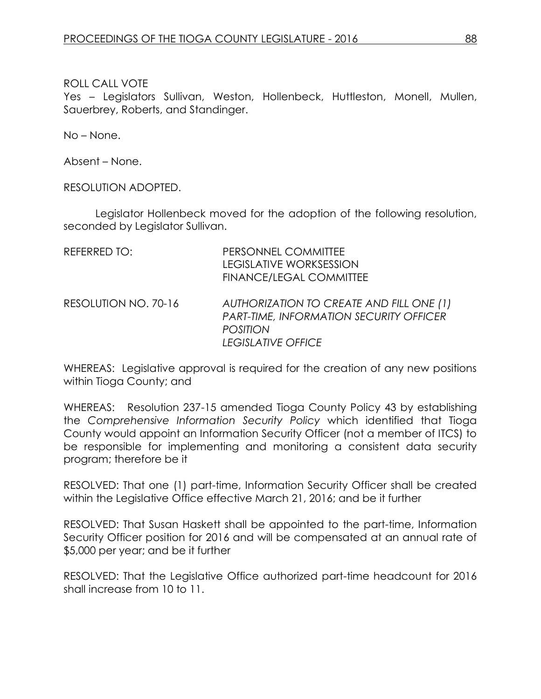Yes - Legislators Sullivan, Weston, Hollenbeck, Huttleston, Monell, Mullen, Sauerbrey, Roberts, and Standinger.

No – None.

Absent – None.

RESOLUTION ADOPTED.

Legislator Hollenbeck moved for the adoption of the following resolution, seconded by Legislator Sullivan.

| REFERRED TO:         | PERSONNEL COMMITTEE<br><b>LEGISLATIVE WORKSESSION</b><br><b>FINANCE/LEGAL COMMITTEE</b>                                             |
|----------------------|-------------------------------------------------------------------------------------------------------------------------------------|
| RESOLUTION NO. 70-16 | AUTHORIZATION TO CREATE AND FILL ONE (1)<br><b>PART-TIME, INFORMATION SECURITY OFFICER</b><br><b>POSITION</b><br>LEGISLATIVE OFFICE |

WHEREAS: Legislative approval is required for the creation of any new positions within Tioga County; and

WHEREAS: Resolution 237-15 amended Tioga County Policy 43 by establishing the *Comprehensive Information Security Policy* which identified that Tioga County would appoint an Information Security Officer (not a member of ITCS) to be responsible for implementing and monitoring a consistent data security program; therefore be it

RESOLVED: That one (1) part-time, Information Security Officer shall be created within the Legislative Office effective March 21, 2016; and be it further

RESOLVED: That Susan Haskett shall be appointed to the part-time, Information Security Officer position for 2016 and will be compensated at an annual rate of \$5,000 per year; and be it further

RESOLVED: That the Legislative Office authorized part-time headcount for 2016 shall increase from 10 to 11.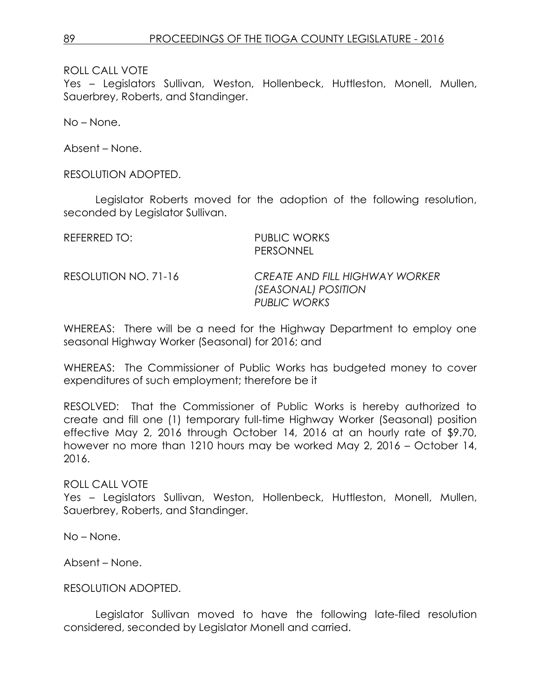Yes – Legislators Sullivan, Weston, Hollenbeck, Huttleston, Monell, Mullen, Sauerbrey, Roberts, and Standinger.

No – None.

Absent – None.

RESOLUTION ADOPTED.

Legislator Roberts moved for the adoption of the following resolution, seconded by Legislator Sullivan.

| REFERRED TO:         | <b>PUBLIC WORKS</b><br>PERSONNEL                                             |
|----------------------|------------------------------------------------------------------------------|
| RESOLUTION NO. 71-16 | <b>CREATE AND FILL HIGHWAY WORKER</b><br>(SEASONAL) POSITION<br>PUBLIC WORKS |

WHEREAS: There will be a need for the Highway Department to employ one seasonal Highway Worker (Seasonal) for 2016; and

WHEREAS: The Commissioner of Public Works has budgeted money to cover expenditures of such employment; therefore be it

RESOLVED: That the Commissioner of Public Works is hereby authorized to create and fill one (1) temporary full-time Highway Worker (Seasonal) position effective May 2, 2016 through October 14, 2016 at an hourly rate of \$9.70, however no more than 1210 hours may be worked May 2, 2016 – October 14, 2016.

ROLL CALL VOTE Yes – Legislators Sullivan, Weston, Hollenbeck, Huttleston, Monell, Mullen, Sauerbrey, Roberts, and Standinger.

No – None.

Absent – None.

#### RESOLUTION ADOPTED.

Legislator Sullivan moved to have the following late-filed resolution considered, seconded by Legislator Monell and carried.